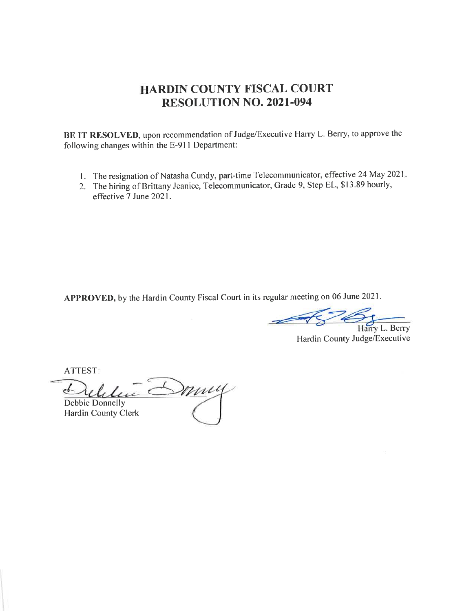# HARDIN COUNTY FISCAL COURT RESOLUTION NO. 202I.094

BE IT RESOLVED, upon recommendation of Judge/Executive Harry L. Berry, to approve the following changes within the E-91I Department:

- 1. The resignation of Natasha Cundy, part-time Telecommunicator, effective 24 May 2021.
- 2. The hiring of Brittany Jeanice, Telecommunicator, Grade 9, Step EL, \$13.89 hourly, effective 7 June 2021.

APPROVED, by the Hardin County Fiscal Court in its regular meeting on 06 June 2021.

 $\overline{\mathscr{C}}$ Harry L. Berry

Hardin County Judge/Executive

ATTEST

muy Debbie Donnelly

Hardin County Clerk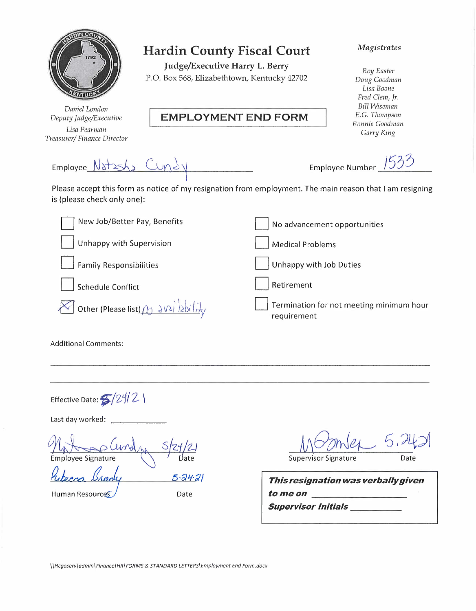|                                                         | <b>Hardin County Fiscal Court</b><br>Judge/Executive Harry L. Berry<br>P.O. Box 568, Elizabethtown, Kentucky 42702 | Magistrates<br>Roy Easter<br>Doug Goodman<br>Lisa Boone<br>Fred Clem, Jr.<br><b>Bill Wiseman</b> |
|---------------------------------------------------------|--------------------------------------------------------------------------------------------------------------------|--------------------------------------------------------------------------------------------------|
| Daniel London<br>Deputy Judge/Executive<br>Lisa Pearman | <b>EMPLOYMENT END FORM</b>                                                                                         | E.G. Thompson<br>Ronnie Goodman                                                                  |
| Treasurer/Finance Director                              |                                                                                                                    | Garry King                                                                                       |
| Employee Natish Cundy                                   | Please accept this form as notice of my resignation from employment. The main reason that I am resigning           | Employee Number                                                                                  |
| is (please check only one):                             |                                                                                                                    |                                                                                                  |
| New Job/Better Pay, Benefits                            | No advancement opportunities                                                                                       |                                                                                                  |
| <b>Unhappy with Supervision</b>                         | <b>Medical Problems</b>                                                                                            |                                                                                                  |
| <b>Family Responsibilities</b>                          | Unhappy with Job Duties                                                                                            |                                                                                                  |
| <b>Schedule Conflict</b>                                | Retirement                                                                                                         |                                                                                                  |
| other (Please list) (1) 3V21 2bility                    | requirement                                                                                                        | Termination for not meeting minimum hour                                                         |
| <b>Additional Comments:</b>                             |                                                                                                                    |                                                                                                  |
|                                                         |                                                                                                                    |                                                                                                  |

Last day worked:

Effective Date:  $$/24/2$  \

*i* <u>Cundation</u><br>
ady *1=. li* <u>Israaly</u><br>vurces  $5.24.21$ *a.* Date Hu man Reso

 $5.7$ Supervisor Signature Date

*This resignation was verbally given to me on* \_\_ **Supervisor Initials** 

*\ \Hcgoserv\odmin\Finance\HR\FORMS* & *STANDARD LETTERS\Employment End Form.docx*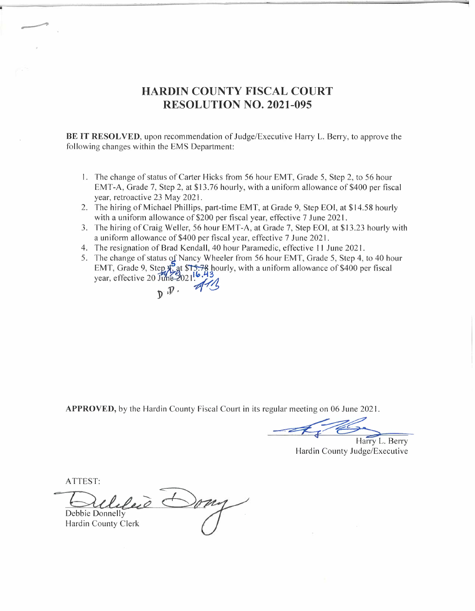## **HARDIN COUNTY FISCAL COURT RESOLUTION NO. 2021-095**

**BE IT RESOLVED,** upon recommendation of Judge/Executive Harry L. Berry, to approve the following changes within the EMS Department:

- I. The change of status of Carter Hicks from 56 hour EMT, Grade 5, Step 2, to 56 hour EMT-A, Grade 7, Step 2, at \$13.76 hourly, with a uniform allowance of \$400 per fiscal year, retroactive 23 May 2021.
- 2. The hiring of Michael Phillips, part-time EMT, at Grade 9, Step EOI, at \$14.58 hourly with a uniform allowance of \$200 per fiscal year, effective 7 June 2021.
- 3. The hiring of Craig Weller, 56 hour EMT-A, at Grade 7, Step EOI, at \$13.23 hourly with a uniform allowance of \$400 per fiscal year, effective 7 June 2021.
- 4. The resignation of Brad Kendall, 40 hour Paramedic, effective 11 June 2021.
- 5. The change of status of Nancy Wheeler from 56 hour EMT, Grade 5, Step 4, to 40 hour The resignation of Brad Kendall, 40 hour Paramedic, effective 11 June 2021.<br>The change of status of Nancy Wheeler from 56 hour EMT, Grade 5, Step 4, to 40 ho<br>EMT, Grade 9, Step 4, at \$15.78 hourly, with a uniform allowanc EMT, Grade 9, Step x<sup>5</sup> at \$T<br>year, effective 20 June 2021 1  $.43$  hour<br> $.43$  $D \cdot \frac{1}{44}$

**APPROVED,** by the Hardin County Fiscal Court in its regular meeting on 06 June 2021.

we did a meeting on 06 June 2021.<br>
Harry L. Berry<br>
Hardin County Judge/Executive

Hardin County Judge/Executive

ATTEST:

Debbie Donnelly Hardin County Clerk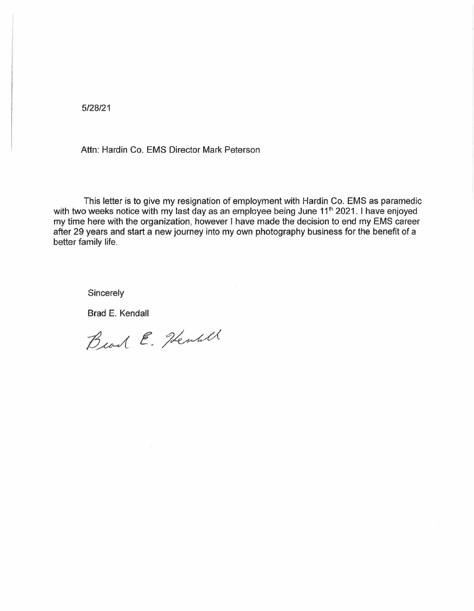5/28/21

Attn: Hardin Co. EMS Director Mark Peterson

This letter is to give my resignation of employment with Hardin Co. EMS as paramedic with two weeks notice with my last day as an employee being June 11<sup>th</sup> 2021. I have enjoyed my time here with the organization, however I have made the decision to end my EMS career after 29 years and start a new journey into my own photography business for the benefit of a better family life.

**Sincerely** 

Brad E. Kendall

Beach E. Henrill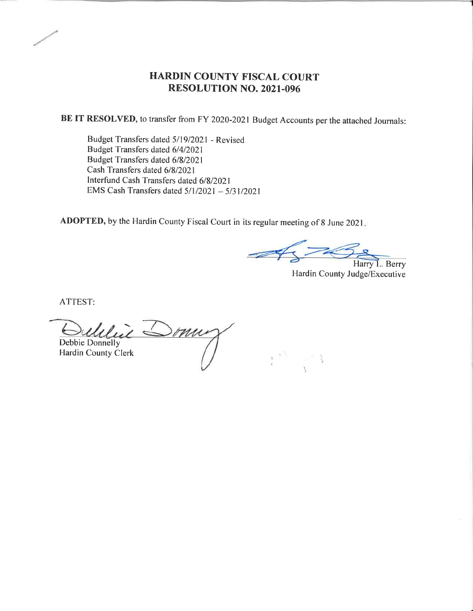#### HARDIN COUNTY FISCAL COURT RESOLUTION NO. 2021.096

BE IT RESOLVED, to transfer from FY 2020-2021 Budget Accounts per the attached Journals:

Budget Transfers dated 5/19/2021 - Revised Budget Transfers dated 6/4/2021 Budget Transfers dated 618/2021 Cash Transfers dated 6/8/2021 Interfund Cash Transfers dated 6/8/2021 EMS Cash Transfers dated 5/1/2021 - 5/31/2021

ADOPTED, by the Hardin County Fiscal Court in its regular meeting of 8 June <sup>2021</sup>

Harry L. Berry

r.

Hardin County Judge/Executive

ATTEST:

 $\iota$  Somu Debbie Donnelly Hardin County Clerk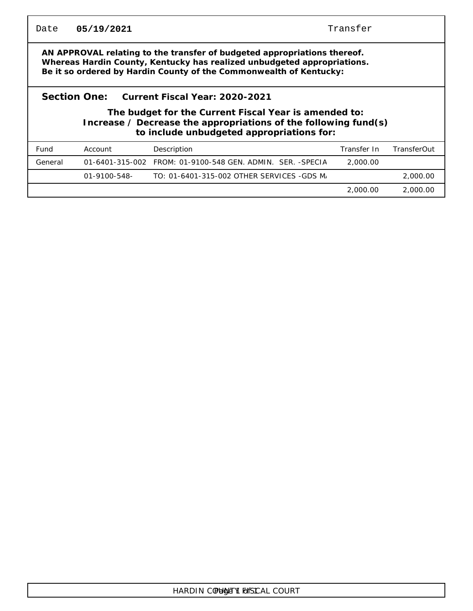| Date    | 05/19/2021                                                                                                                                                                                                                   | Transfer                                                   |             |             |  |  |  |  |
|---------|------------------------------------------------------------------------------------------------------------------------------------------------------------------------------------------------------------------------------|------------------------------------------------------------|-------------|-------------|--|--|--|--|
|         | AN APPROVAL relating to the transfer of budgeted appropriations thereof.<br>Whereas Hardin County, Kentucky has realized unbudgeted appropriations.<br>Be it so ordered by Hardin County of the Commonwealth of Kentucky:    |                                                            |             |             |  |  |  |  |
|         | Section One:<br>Current Fiscal Year: 2020-2021<br>The budget for the Current Fiscal Year is amended to:<br>Increase $\ell$ Decrease the appropriations of the following fund(s)<br>to include unbudgeted appropriations for: |                                                            |             |             |  |  |  |  |
| Fund    | Account                                                                                                                                                                                                                      | Description                                                | Transfer In | TransferOut |  |  |  |  |
| General |                                                                                                                                                                                                                              | 01-6401-315-002 FROM: 01-9100-548 GEN. ADMIN. SER. -SPECIA | 2,000.00    |             |  |  |  |  |
|         | 01-9100-548-                                                                                                                                                                                                                 | TO: 01-6401-315-002 OTHER SERVICES -GDS M                  |             | 2,000.00    |  |  |  |  |
|         |                                                                                                                                                                                                                              |                                                            | 2,000.00    | 2,000.00    |  |  |  |  |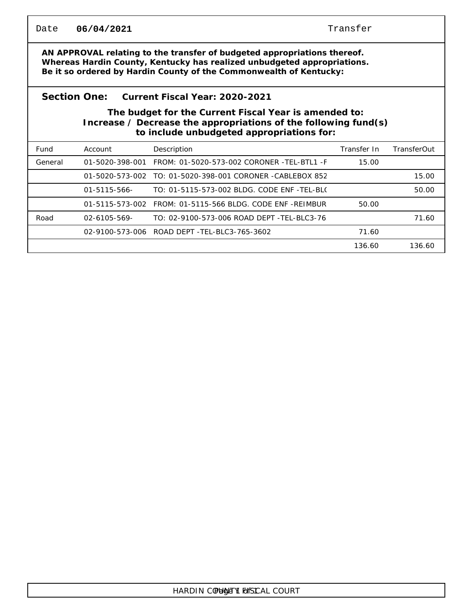| Date    | 06/04/2021                                                                                                                                                                                                                | Transfer                                                                                                                                                              |             |             |  |  |  |  |  |
|---------|---------------------------------------------------------------------------------------------------------------------------------------------------------------------------------------------------------------------------|-----------------------------------------------------------------------------------------------------------------------------------------------------------------------|-------------|-------------|--|--|--|--|--|
|         | AN APPROVAL relating to the transfer of budgeted appropriations thereof.<br>Whereas Hardin County, Kentucky has realized unbudgeted appropriations.<br>Be it so ordered by Hardin County of the Commonwealth of Kentucky: |                                                                                                                                                                       |             |             |  |  |  |  |  |
|         | Section One:                                                                                                                                                                                                              | Current Fiscal Year: 2020-2021                                                                                                                                        |             |             |  |  |  |  |  |
|         |                                                                                                                                                                                                                           | The budget for the Current Fiscal Year is amended to:<br>Increase / Decrease the appropriations of the following fund(s)<br>to include unbudgeted appropriations for: |             |             |  |  |  |  |  |
| Fund    | Account                                                                                                                                                                                                                   | Description                                                                                                                                                           | Transfer In | TransferOut |  |  |  |  |  |
| General |                                                                                                                                                                                                                           | 01-5020-398-001    FROM: 01-5020-573-002    CORONER    -TEL-BTL1    -F                                                                                                | 15.00       |             |  |  |  |  |  |
|         |                                                                                                                                                                                                                           | 01-5020-573-002 TO: 01-5020-398-001 CORONER -CABLEBOX 852                                                                                                             |             | 15.00       |  |  |  |  |  |
|         | $01 - 5115 - 566$                                                                                                                                                                                                         | TO: 01-5115-573-002 BLDG. CODE ENF -TEL-BLO                                                                                                                           |             | 50.00       |  |  |  |  |  |
|         |                                                                                                                                                                                                                           | 01-5115-573-002 FROM: 01-5115-566 BLDG, CODE ENF -REIMBUR                                                                                                             | 50.00       |             |  |  |  |  |  |
| Road    | $02 - 6105 - 569 -$                                                                                                                                                                                                       | TO: 02-9100-573-006 ROAD DEPT -TEL-BLC3-76                                                                                                                            |             | 71.60       |  |  |  |  |  |
|         |                                                                                                                                                                                                                           | 02-9100-573-006 ROAD DEPT - TEL-BLC3-765-3602                                                                                                                         | 71.60       |             |  |  |  |  |  |
|         |                                                                                                                                                                                                                           |                                                                                                                                                                       | 136.60      | 136.60      |  |  |  |  |  |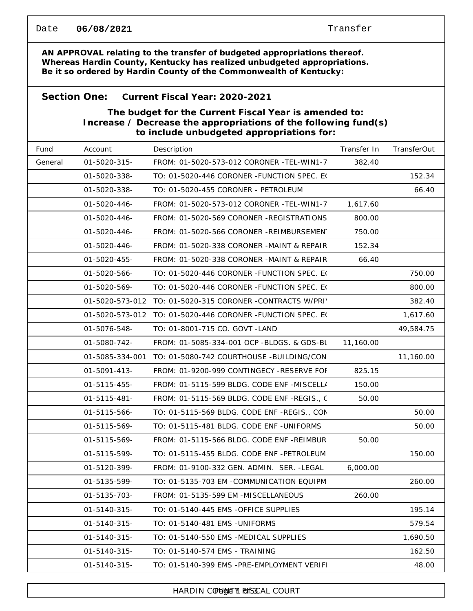#### Transfer

**AN APPROVAL relating to the transfer of budgeted appropriations thereof. Whereas Hardin County, Kentucky has realized unbudgeted appropriations. Be it so ordered by Hardin County of the Commonwealth of Kentucky:**

#### **Section One: Current Fiscal Year: 2020-2021**

**The budget for the Current Fiscal Year is amended to: Increase / Decrease the appropriations of the following fund(s) to include unbudgeted appropriations for:**

| Fund    | Account             | Description                                 | Transfer In | TransferOut |
|---------|---------------------|---------------------------------------------|-------------|-------------|
| General | 01-5020-315-        | FROM: 01-5020-573-012 CORONER -TEL-WIN1-7   | 382.40      |             |
|         | 01-5020-338-        | TO: 01-5020-446 CORONER - FUNCTION SPEC. EQ |             | 152.34      |
|         | 01-5020-338-        | TO: 01-5020-455 CORONER - PETROLEUM         |             | 66.40       |
|         | 01-5020-446-        | FROM: 01-5020-573-012 CORONER -TEL-WIN1-7   | 1,617.60    |             |
|         | 01-5020-446-        | FROM: 01-5020-569 CORONER -REGISTRATIONS    | 800.00      |             |
|         | 01-5020-446-        | FROM: 01-5020-566 CORONER -REIMBURSEMEN     | 750.00      |             |
|         | 01-5020-446-        | FROM: 01-5020-338 CORONER -MAINT & REPAIR   | 152.34      |             |
|         | 01-5020-455-        | FROM: 01-5020-338 CORONER -MAINT & REPAIR   | 66.40       |             |
|         | 01-5020-566-        | TO: 01-5020-446 CORONER - FUNCTION SPEC. EQ |             | 750.00      |
|         | 01-5020-569-        | TO: 01-5020-446 CORONER - FUNCTION SPEC. EQ |             | 800.00      |
|         | 01-5020-573-012     | TO: 01-5020-315 CORONER -CONTRACTS W/PRI'   |             | 382.40      |
|         | 01-5020-573-012     | TO: 01-5020-446 CORONER - FUNCTION SPEC. EQ |             | 1,617.60    |
|         | 01-5076-548-        | TO: 01-8001-715 CO. GOVT - LAND             |             | 49,584.75   |
|         | 01-5080-742-        | FROM: 01-5085-334-001 OCP -BLDGS. & GDS-BL  | 11,160.00   |             |
|         | 01-5085-334-001     | TO: 01-5080-742 COURTHOUSE -BUILDING/CON    |             | 11,160.00   |
|         | 01-5091-413-        | FROM: 01-9200-999 CONTINGECY -RESERVE FOI   | 825.15      |             |
|         | $01 - 5115 - 455 -$ | FROM: 01-5115-599 BLDG. CODE ENF -MISCELL/  | 150.00      |             |
|         | $01 - 5115 - 481 -$ | FROM: 01-5115-569 BLDG. CODE ENF -REGIS., C | 50.00       |             |
|         | 01-5115-566-        | TO: 01-5115-569 BLDG. CODE ENF -REGIS., CON |             | 50.00       |
|         | 01-5115-569-        | TO: 01-5115-481 BLDG. CODE ENF -UNIFORMS    |             | 50.00       |
|         | 01-5115-569-        | FROM: 01-5115-566 BLDG. CODE ENF -REIMBUR   | 50.00       |             |
|         | 01-5115-599-        | TO: 01-5115-455 BLDG. CODE ENF -PETROLEUM   |             | 150.00      |
|         | 01-5120-399-        | FROM: 01-9100-332 GEN. ADMIN. SER. -LEGAL   | 6,000.00    |             |
|         | 01-5135-599-        | TO: 01-5135-703 EM -COMMUNICATION EQUIPM    |             | 260.00      |
|         | 01-5135-703-        | FROM: 01-5135-599 EM -MISCELLANEOUS         | 260.00      |             |
|         | 01-5140-315-        | TO: 01-5140-445 EMS -OFFICE SUPPLIES        |             | 195.14      |
|         | 01-5140-315-        | TO: 01-5140-481 EMS - UNIFORMS              |             | 579.54      |
|         | 01-5140-315-        | TO: 01-5140-550 EMS -MEDICAL SUPPLIES       |             | 1,690.50    |
|         | 01-5140-315-        | TO: 01-5140-574 EMS - TRAINING              |             | 162.50      |
|         | 01-5140-315-        | TO: 01-5140-399 EMS -PRE-EMPLOYMENT VERIF   |             | 48.00       |

#### HARDIN COUNTY FORSCAL COURT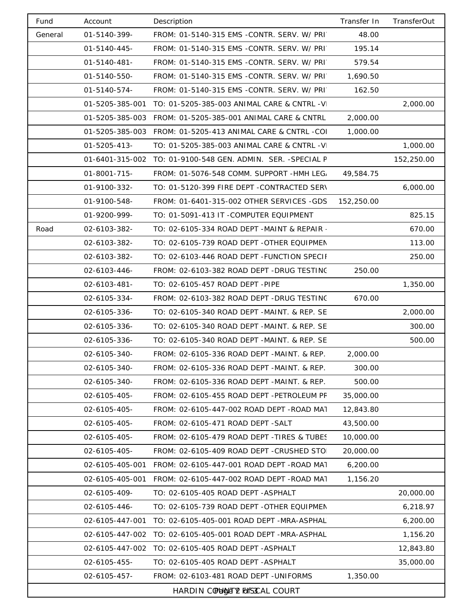| Fund    | Account         | Description                                                  | Transfer In | <b>TransferOut</b> |
|---------|-----------------|--------------------------------------------------------------|-------------|--------------------|
| General | 01-5140-399-    | FROM: 01-5140-315 EMS -CONTR. SERV. W/ PRI                   | 48.00       |                    |
|         | 01-5140-445-    | FROM: 01-5140-315 EMS -CONTR. SERV. W/ PRI                   | 195.14      |                    |
|         | 01-5140-481-    | FROM: 01-5140-315 EMS -CONTR. SERV. W/ PRI                   | 579.54      |                    |
|         | 01-5140-550-    | FROM: 01-5140-315 EMS -CONTR. SERV. W/ PRI                   | 1,690.50    |                    |
|         | 01-5140-574-    | FROM: 01-5140-315 EMS -CONTR. SERV. W/ PRI                   | 162.50      |                    |
|         | 01-5205-385-001 | TO: 01-5205-385-003 ANIMAL CARE & CNTRL -V                   |             | 2,000.00           |
|         | 01-5205-385-003 | FROM: 01-5205-385-001 ANIMAL CARE & CNTRL                    | 2,000.00    |                    |
|         | 01-5205-385-003 | FROM: 01-5205-413 ANIMAL CARE & CNTRL -COI                   | 1,000.00    |                    |
|         | 01-5205-413-    | TO: 01-5205-385-003 ANIMAL CARE & CNTRL -V                   |             | 1,000.00           |
|         |                 | 01-6401-315-002 TO: 01-9100-548 GEN. ADMIN. SER. - SPECIAL F |             | 152,250.00         |
|         | 01-8001-715-    | FROM: 01-5076-548 COMM. SUPPORT -HMH LEG.                    | 49,584.75   |                    |
|         | 01-9100-332-    | TO: 01-5120-399 FIRE DEPT -CONTRACTED SERV                   |             | 6,000.00           |
|         | 01-9100-548-    | FROM: 01-6401-315-002 OTHER SERVICES -GDS                    | 152,250.00  |                    |
|         | 01-9200-999-    | TO: 01-5091-413 IT -COMPUTER EQUIPMENT                       |             | 825.15             |
| Road    | 02-6103-382-    | TO: 02-6105-334 ROAD DEPT -MAINT & REPAIR -                  |             | 670.00             |
|         | 02-6103-382-    | TO: 02-6105-739 ROAD DEPT -OTHER EQUIPMEN                    |             | 113.00             |
|         | 02-6103-382-    | TO: 02-6103-446 ROAD DEPT - FUNCTION SPECII                  |             | 250.00             |
|         | 02-6103-446-    | FROM: 02-6103-382 ROAD DEPT -DRUG TESTINC                    | 250.00      |                    |
|         | 02-6103-481-    | TO: 02-6105-457 ROAD DEPT -PIPE                              |             | 1,350.00           |
|         | 02-6105-334-    | FROM: 02-6103-382 ROAD DEPT -DRUG TESTINC                    | 670.00      |                    |
|         | 02-6105-336-    | TO: 02-6105-340 ROAD DEPT -MAINT. & REP. SE                  |             | 2,000.00           |
|         | 02-6105-336-    | TO: 02-6105-340 ROAD DEPT -MAINT. & REP. SE                  |             | 300.00             |
|         | 02-6105-336-    | TO: 02-6105-340 ROAD DEPT -MAINT. & REP. SE                  |             | 500.00             |
|         | 02-6105-340-    | FROM: 02-6105-336 ROAD DEPT -MAINT. & REP.                   | 2,000.00    |                    |
|         | 02-6105-340-    | FROM: 02-6105-336 ROAD DEPT -MAINT. & REP.                   | 300.00      |                    |
|         | 02-6105-340-    | FROM: 02-6105-336 ROAD DEPT -MAINT. & REP.                   | 500.00      |                    |
|         | 02-6105-405-    | FROM: 02-6105-455 ROAD DEPT -PETROLEUM PF                    | 35,000.00   |                    |
|         | 02-6105-405-    | FROM: 02-6105-447-002 ROAD DEPT - ROAD MAT                   | 12,843.80   |                    |
|         | 02-6105-405-    | FROM: 02-6105-471 ROAD DEPT -SALT                            | 43,500.00   |                    |
|         | 02-6105-405-    | FROM: 02-6105-479 ROAD DEPT - TIRES & TUBES                  | 10,000.00   |                    |
|         | 02-6105-405-    | FROM: 02-6105-409 ROAD DEPT -CRUSHED STO                     | 20,000.00   |                    |
|         | 02-6105-405-001 | FROM: 02-6105-447-001 ROAD DEPT - ROAD MAT                   | 6,200.00    |                    |
|         | 02-6105-405-001 | FROM: 02-6105-447-002 ROAD DEPT - ROAD MAT                   | 1,156.20    |                    |
|         | 02-6105-409-    | TO: 02-6105-405 ROAD DEPT - ASPHALT                          |             | 20,000.00          |
|         | 02-6105-446-    | TO: 02-6105-739 ROAD DEPT -OTHER EQUIPMEN                    |             | 6,218.97           |
|         | 02-6105-447-001 | TO: 02-6105-405-001 ROAD DEPT -MRA-ASPHAL                    |             | 6,200.00           |
|         | 02-6105-447-002 | TO: 02-6105-405-001 ROAD DEPT -MRA-ASPHAL                    |             | 1,156.20           |
|         | 02-6105-447-002 | TO: 02-6105-405 ROAD DEPT - ASPHALT                          |             | 12,843.80          |
|         | 02-6105-455-    | TO: 02-6105-405 ROAD DEPT - ASPHALT                          |             | 35,000.00          |
|         | 02-6105-457-    | FROM: 02-6103-481 ROAD DEPT -UNIFORMS                        | 1,350.00    |                    |
|         |                 | HARDIN COUNTY FORSCAL COURT                                  |             |                    |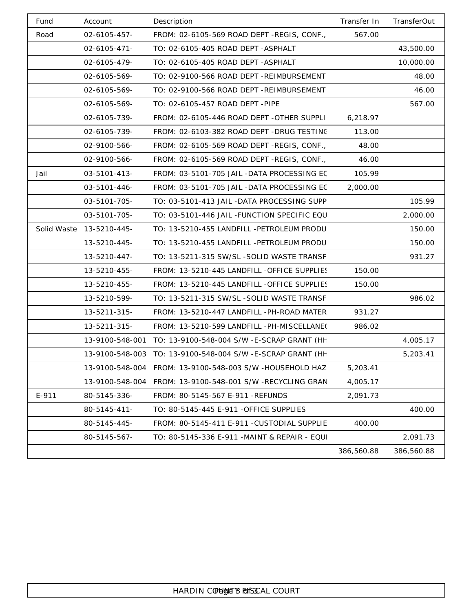| Fund        | Account             | Description                                                | Transfer In | TransferOut |
|-------------|---------------------|------------------------------------------------------------|-------------|-------------|
| Road        | 02-6105-457-        | FROM: 02-6105-569 ROAD DEPT -REGIS, CONF.,                 | 567.00      |             |
|             | $02 - 6105 - 471 -$ | TO: 02-6105-405 ROAD DEPT - ASPHALT                        |             | 43,500.00   |
|             | 02-6105-479-        | TO: 02-6105-405 ROAD DEPT - ASPHALT                        |             | 10,000.00   |
|             | 02-6105-569-        | TO: 02-9100-566 ROAD DEPT -REIMBURSEMENT                   |             | 48.00       |
|             | 02-6105-569-        | TO: 02-9100-566 ROAD DEPT -REIMBURSEMENT                   |             | 46.00       |
|             | 02-6105-569-        | TO: 02-6105-457 ROAD DEPT -PIPE                            |             | 567.00      |
|             | 02-6105-739-        | FROM: 02-6105-446 ROAD DEPT -OTHER SUPPLI                  | 6,218.97    |             |
|             | 02-6105-739-        | FROM: 02-6103-382 ROAD DEPT -DRUG TESTING                  | 113.00      |             |
|             | 02-9100-566-        | FROM: 02-6105-569 ROAD DEPT -REGIS, CONF.,                 | 48.00       |             |
|             | 02-9100-566-        | FROM: 02-6105-569 ROAD DEPT -REGIS, CONF.,                 | 46.00       |             |
| Jail        | 03-5101-413-        | FROM: 03-5101-705 JAIL -DATA PROCESSING EC                 | 105.99      |             |
|             | 03-5101-446-        | FROM: 03-5101-705 JAIL -DATA PROCESSING EC                 | 2,000.00    |             |
|             | 03-5101-705-        | TO: 03-5101-413 JAIL -DATA PROCESSING SUPP                 |             | 105.99      |
|             | 03-5101-705-        | TO: 03-5101-446 JAIL - FUNCTION SPECIFIC EQU               |             | 2,000.00    |
| Solid Waste | 13-5210-445-        | TO: 13-5210-455 LANDFILL -PETROLEUM PRODU                  |             | 150.00      |
|             | 13-5210-445-        | TO: 13-5210-455 LANDFILL -PETROLEUM PRODU                  |             | 150.00      |
|             | 13-5210-447-        | TO: 13-5211-315 SW/SL -SOLID WASTE TRANSF                  |             | 931.27      |
|             | 13-5210-455-        | FROM: 13-5210-445 LANDFILL -OFFICE SUPPLIES                | 150.00      |             |
|             | 13-5210-455-        | FROM: 13-5210-445 LANDFILL -OFFICE SUPPLIES                | 150.00      |             |
|             | 13-5210-599-        | TO: 13-5211-315 SW/SL -SOLID WASTE TRANSF                  |             | 986.02      |
|             | 13-5211-315-        | FROM: 13-5210-447 LANDFILL -PH-ROAD MATER                  | 931.27      |             |
|             | 13-5211-315-        | FROM: 13-5210-599 LANDFILL -PH-MISCELLANE(                 | 986.02      |             |
|             |                     | 13-9100-548-001 TO: 13-9100-548-004 S/W -E-SCRAP GRANT (HH |             | 4,005.17    |
|             |                     | 13-9100-548-003 TO: 13-9100-548-004 S/W -E-SCRAP GRANT (HH |             | 5,203.41    |
|             |                     | 13-9100-548-004 FROM: 13-9100-548-003 S/W -HOUSEHOLD HAZ   | 5,203.41    |             |
|             | 13-9100-548-004     | FROM: 13-9100-548-001 S/W -RECYCLING GRAN                  | 4,005.17    |             |
| E-911       | 80-5145-336-        | FROM: 80-5145-567 E-911 - REFUNDS                          | 2,091.73    |             |
|             | 80-5145-411-        | TO: 80-5145-445 E-911 - OFFICE SUPPLIES                    |             | 400.00      |
|             | 80-5145-445-        | FROM: 80-5145-411 E-911 - CUSTODIAL SUPPLIE                | 400.00      |             |
|             | 80-5145-567-        | TO: 80-5145-336 E-911 -MAINT & REPAIR - EQU                |             | 2,091.73    |
|             |                     |                                                            | 386,560.88  | 386,560.88  |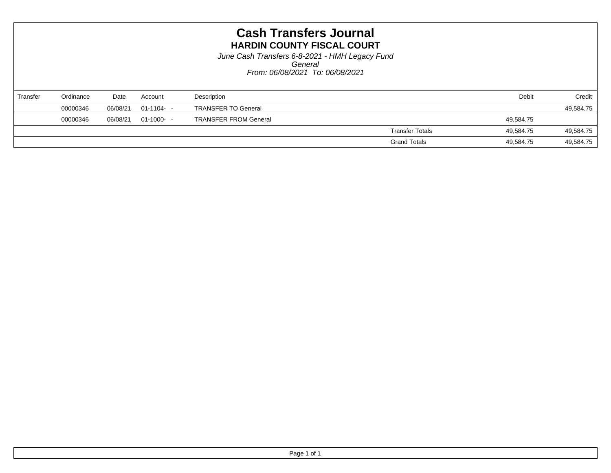*From: 06/08/2021 To: 06/08/2021 General June Cash Transfers 6-8-2021 - HMH Legacy Fund*

| Transfer | Ordinance | Date     | Account     | Description                  | Debit                               | Credit    |
|----------|-----------|----------|-------------|------------------------------|-------------------------------------|-----------|
|          | 00000346  | 06/08/21 | 01-1104- -  | <b>TRANSFER TO General</b>   |                                     | 49,584.75 |
|          | 00000346  | 06/08/21 | $01-1000 -$ | <b>TRANSFER FROM General</b> | 49,584.75                           |           |
|          |           |          |             |                              | <b>Transfer Totals</b><br>49.584.75 | 49,584.75 |
|          |           |          |             |                              | <b>Grand Totals</b><br>49,584.75    | 49,584.75 |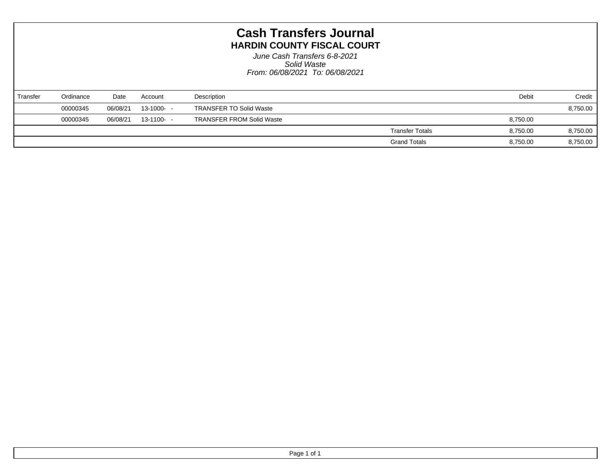*From: 06/08/2021 To: 06/08/2021 Solid Waste June Cash Transfers 6-8-2021*

| Transfer | Ordinance | Date     | Account    | Description                      |                        | Debit    | Credit   |
|----------|-----------|----------|------------|----------------------------------|------------------------|----------|----------|
|          | 00000345  | 06/08/21 | 13-1000- - | <b>TRANSFER TO Solid Waste</b>   |                        |          | 8,750.00 |
|          | 00000345  | 06/08/21 | 13-1100- - | <b>TRANSFER FROM Solid Waste</b> |                        | 8,750.00 |          |
|          |           |          |            |                                  | <b>Transfer Totals</b> | 8,750.00 | 8,750.00 |
|          |           |          |            |                                  | <b>Grand Totals</b>    | 8,750.00 | 8,750.00 |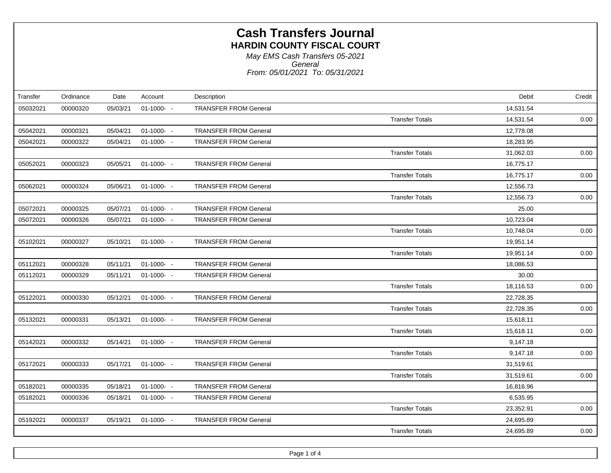*From: 05/01/2021 To: 05/31/2021 General May EMS Cash Transfers 05-2021*

| Transfer | Ordinance | Date     | Account     | Description                  |                        | Debit     | Credit |
|----------|-----------|----------|-------------|------------------------------|------------------------|-----------|--------|
| 05032021 | 00000320  | 05/03/21 | $01-1000 -$ | <b>TRANSFER FROM General</b> |                        | 14,531.54 |        |
|          |           |          |             |                              | <b>Transfer Totals</b> | 14,531.54 | 0.00   |
| 05042021 | 00000321  | 05/04/21 | $01-1000 -$ | <b>TRANSFER FROM General</b> |                        | 12,778.08 |        |
| 05042021 | 00000322  | 05/04/21 | $01-1000 -$ | <b>TRANSFER FROM General</b> |                        | 18,283.95 |        |
|          |           |          |             |                              | <b>Transfer Totals</b> | 31,062.03 | 0.00   |
| 05052021 | 00000323  | 05/05/21 | $01-1000 -$ | <b>TRANSFER FROM General</b> |                        | 16,775.17 |        |
|          |           |          |             |                              | <b>Transfer Totals</b> | 16,775.17 | 0.00   |
| 05062021 | 00000324  | 05/06/21 | $01-1000 -$ | <b>TRANSFER FROM General</b> |                        | 12,556.73 |        |
|          |           |          |             |                              | <b>Transfer Totals</b> | 12,556.73 | 0.00   |
| 05072021 | 00000325  | 05/07/21 | $01-1000 -$ | <b>TRANSFER FROM General</b> |                        | 25.00     |        |
| 05072021 | 00000326  | 05/07/21 | $01-1000 -$ | <b>TRANSFER FROM General</b> |                        | 10,723.04 |        |
|          |           |          |             |                              | <b>Transfer Totals</b> | 10,748.04 | 0.00   |
| 05102021 | 00000327  | 05/10/21 | $01-1000-$  | <b>TRANSFER FROM General</b> |                        | 19,951.14 |        |
|          |           |          |             |                              | <b>Transfer Totals</b> | 19,951.14 | 0.00   |
| 05112021 | 00000328  | 05/11/21 | $01-1000 -$ | <b>TRANSFER FROM General</b> |                        | 18,086.53 |        |
| 05112021 | 00000329  | 05/11/21 | $01-1000 -$ | <b>TRANSFER FROM General</b> |                        | 30.00     |        |
|          |           |          |             |                              | <b>Transfer Totals</b> | 18,116.53 | 0.00   |
| 05122021 | 00000330  | 05/12/21 | $01-1000 -$ | <b>TRANSFER FROM General</b> |                        | 22,728.35 |        |
|          |           |          |             |                              | <b>Transfer Totals</b> | 22,728.35 | 0.00   |
| 05132021 | 00000331  | 05/13/21 | $01-1000-$  | <b>TRANSFER FROM General</b> |                        | 15,618.11 |        |
|          |           |          |             |                              | <b>Transfer Totals</b> | 15,618.11 | 0.00   |
| 05142021 | 00000332  | 05/14/21 | $01-1000-$  | <b>TRANSFER FROM General</b> |                        | 9,147.18  |        |
|          |           |          |             |                              | <b>Transfer Totals</b> | 9,147.18  | 0.00   |
| 05172021 | 00000333  | 05/17/21 | $01-1000 -$ | <b>TRANSFER FROM General</b> |                        | 31,519.61 |        |
|          |           |          |             |                              | <b>Transfer Totals</b> | 31,519.61 | 0.00   |
| 05182021 | 00000335  | 05/18/21 | $01-1000 -$ | <b>TRANSFER FROM General</b> |                        | 16,816.96 |        |
| 05182021 | 00000336  | 05/18/21 | $01-1000 -$ | <b>TRANSFER FROM General</b> |                        | 6,535.95  |        |
|          |           |          |             |                              | <b>Transfer Totals</b> | 23,352.91 | 0.00   |
| 05192021 | 00000337  | 05/19/21 | $01-1000 -$ | <b>TRANSFER FROM General</b> |                        | 24,695.89 |        |
|          |           |          |             |                              | <b>Transfer Totals</b> | 24,695.89 | 0.00   |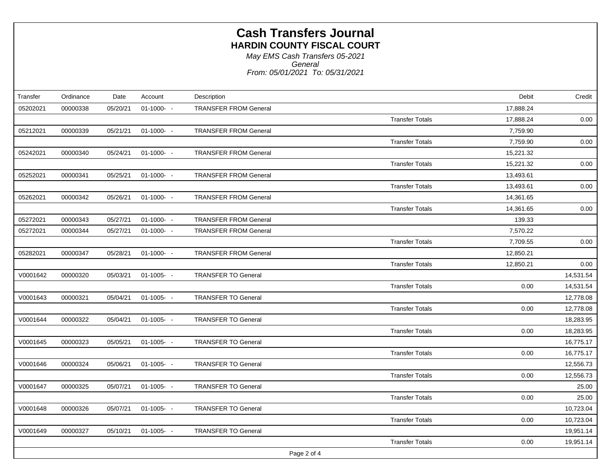*From: 05/01/2021 To: 05/31/2021 General May EMS Cash Transfers 05-2021*

| Transfer | Ordinance | Date     | Account       | Description                  |                        | Debit     | Credit    |
|----------|-----------|----------|---------------|------------------------------|------------------------|-----------|-----------|
| 05202021 | 00000338  | 05/20/21 | $01-1000 -$   | <b>TRANSFER FROM General</b> |                        | 17,888.24 |           |
|          |           |          |               |                              | <b>Transfer Totals</b> | 17,888.24 | 0.00      |
| 05212021 | 00000339  | 05/21/21 | $01-1000 -$   | <b>TRANSFER FROM General</b> |                        | 7,759.90  |           |
|          |           |          |               |                              | <b>Transfer Totals</b> | 7,759.90  | 0.00      |
| 05242021 | 00000340  | 05/24/21 | $01-1000 -$   | <b>TRANSFER FROM General</b> |                        | 15,221.32 |           |
|          |           |          |               |                              | <b>Transfer Totals</b> | 15,221.32 | 0.00      |
| 05252021 | 00000341  | 05/25/21 | $01-1000 -$   | <b>TRANSFER FROM General</b> |                        | 13,493.61 |           |
|          |           |          |               |                              | <b>Transfer Totals</b> | 13,493.61 | 0.00      |
| 05262021 | 00000342  | 05/26/21 | $01-1000 -$   | <b>TRANSFER FROM General</b> |                        | 14,361.65 |           |
|          |           |          |               |                              | <b>Transfer Totals</b> | 14,361.65 | 0.00      |
| 05272021 | 00000343  | 05/27/21 | $01-1000 -$   | <b>TRANSFER FROM General</b> |                        | 139.33    |           |
| 05272021 | 00000344  | 05/27/21 | $01-1000 -$   | <b>TRANSFER FROM General</b> |                        | 7,570.22  |           |
|          |           |          |               |                              | <b>Transfer Totals</b> | 7,709.55  | 0.00      |
| 05282021 | 00000347  | 05/28/21 | $01-1000 -$   | <b>TRANSFER FROM General</b> |                        | 12,850.21 |           |
|          |           |          |               |                              | <b>Transfer Totals</b> | 12,850.21 | 0.00      |
| V0001642 | 00000320  | 05/03/21 | $01-1005 - -$ | <b>TRANSFER TO General</b>   |                        |           | 14,531.54 |
|          |           |          |               |                              | <b>Transfer Totals</b> | 0.00      | 14,531.54 |
| V0001643 | 00000321  | 05/04/21 | $01-1005 - -$ | <b>TRANSFER TO General</b>   |                        |           | 12,778.08 |
|          |           |          |               |                              | <b>Transfer Totals</b> | 0.00      | 12,778.08 |
| V0001644 | 00000322  | 05/04/21 | $01-1005 - -$ | <b>TRANSFER TO General</b>   |                        |           | 18,283.95 |
|          |           |          |               |                              | <b>Transfer Totals</b> | 0.00      | 18,283.95 |
| V0001645 | 00000323  | 05/05/21 | $01-1005 -$   | <b>TRANSFER TO General</b>   |                        |           | 16,775.17 |
|          |           |          |               |                              | <b>Transfer Totals</b> | 0.00      | 16,775.17 |
| V0001646 | 00000324  | 05/06/21 | $01-1005 - -$ | <b>TRANSFER TO General</b>   |                        |           | 12,556.73 |
|          |           |          |               |                              | <b>Transfer Totals</b> | 0.00      | 12,556.73 |
| V0001647 | 00000325  | 05/07/21 | $01-1005 - -$ | <b>TRANSFER TO General</b>   |                        |           | 25.00     |
|          |           |          |               |                              | <b>Transfer Totals</b> | 0.00      | 25.00     |
| V0001648 | 00000326  | 05/07/21 | $01-1005 - -$ | <b>TRANSFER TO General</b>   |                        |           | 10,723.04 |
|          |           |          |               |                              | <b>Transfer Totals</b> | 0.00      | 10,723.04 |
| V0001649 | 00000327  | 05/10/21 | $01-1005 - -$ | <b>TRANSFER TO General</b>   |                        |           | 19,951.14 |
|          |           |          |               |                              | <b>Transfer Totals</b> | 0.00      | 19,951.14 |
|          |           |          |               |                              | Page 2 of 4            |           |           |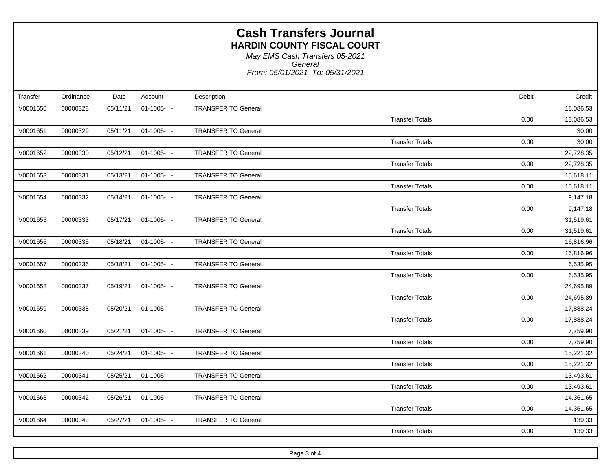*From: 05/01/2021 To: 05/31/2021 General May EMS Cash Transfers 05-2021*

| Transfer | Ordinance | Date     | Account       | Description                | Debit                          | Credit    |
|----------|-----------|----------|---------------|----------------------------|--------------------------------|-----------|
| V0001650 | 00000328  | 05/11/21 | $01-1005 - -$ | <b>TRANSFER TO General</b> |                                | 18,086.53 |
|          |           |          |               |                            | <b>Transfer Totals</b><br>0.00 | 18,086.53 |
| V0001651 | 00000329  | 05/11/21 | $01-1005 - -$ | <b>TRANSFER TO General</b> |                                | 30.00     |
|          |           |          |               |                            | <b>Transfer Totals</b><br>0.00 | 30.00     |
| V0001652 | 00000330  | 05/12/21 | $01-1005 - -$ | <b>TRANSFER TO General</b> |                                | 22,728.35 |
|          |           |          |               |                            | <b>Transfer Totals</b><br>0.00 | 22,728.35 |
| V0001653 | 00000331  | 05/13/21 | $01-1005 - -$ | <b>TRANSFER TO General</b> |                                | 15,618.11 |
|          |           |          |               |                            | 0.00<br><b>Transfer Totals</b> | 15,618.11 |
| V0001654 | 00000332  | 05/14/21 | $01-1005 - -$ | <b>TRANSFER TO General</b> |                                | 9,147.18  |
|          |           |          |               |                            | <b>Transfer Totals</b><br>0.00 | 9,147.18  |
| V0001655 | 00000333  | 05/17/21 | $01-1005 - -$ | <b>TRANSFER TO General</b> |                                | 31,519.61 |
|          |           |          |               |                            | <b>Transfer Totals</b><br>0.00 | 31,519.61 |
| V0001656 | 00000335  | 05/18/21 | $01-1005 - -$ | <b>TRANSFER TO General</b> |                                | 16,816.96 |
|          |           |          |               |                            | <b>Transfer Totals</b><br>0.00 | 16,816.96 |
| V0001657 | 00000336  | 05/18/21 | $01-1005 - -$ | <b>TRANSFER TO General</b> |                                | 6,535.95  |
|          |           |          |               |                            | <b>Transfer Totals</b><br>0.00 | 6,535.95  |
| V0001658 | 00000337  | 05/19/21 | $01-1005 - -$ | <b>TRANSFER TO General</b> |                                | 24,695.89 |
|          |           |          |               |                            | <b>Transfer Totals</b><br>0.00 | 24,695.89 |
| V0001659 | 00000338  | 05/20/21 | $01-1005 - -$ | <b>TRANSFER TO General</b> |                                | 17,888.24 |
|          |           |          |               |                            | <b>Transfer Totals</b><br>0.00 | 17,888.24 |
| V0001660 | 00000339  | 05/21/21 | $01-1005 - -$ | <b>TRANSFER TO General</b> |                                | 7,759.90  |
|          |           |          |               |                            | <b>Transfer Totals</b><br>0.00 | 7,759.90  |
| V0001661 | 00000340  | 05/24/21 | $01-1005 - -$ | <b>TRANSFER TO General</b> |                                | 15,221.32 |
|          |           |          |               |                            | 0.00<br><b>Transfer Totals</b> | 15,221.32 |
| V0001662 | 00000341  | 05/25/21 | $01-1005 - -$ | <b>TRANSFER TO General</b> |                                | 13,493.61 |
|          |           |          |               |                            | <b>Transfer Totals</b><br>0.00 | 13,493.61 |
| V0001663 | 00000342  | 05/26/21 | $01-1005 - -$ | <b>TRANSFER TO General</b> |                                | 14,361.65 |
|          |           |          |               |                            | <b>Transfer Totals</b><br>0.00 | 14,361.65 |
| V0001664 | 00000343  | 05/27/21 | $01-1005 - -$ | <b>TRANSFER TO General</b> |                                | 139.33    |
|          |           |          |               |                            | <b>Transfer Totals</b><br>0.00 | 139.33    |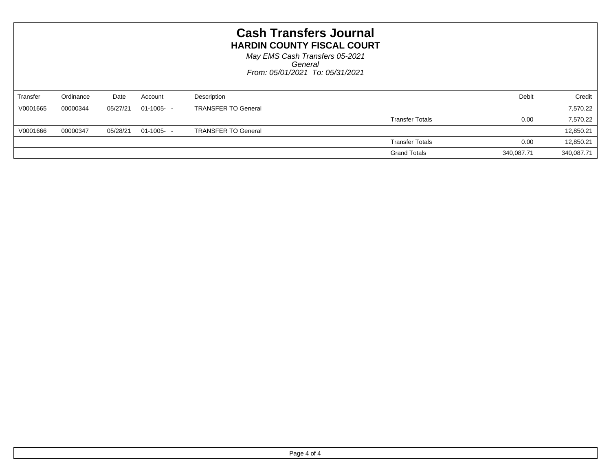| <b>Cash Transfers Journal</b><br><b>HARDIN COUNTY FISCAL COURT</b><br>May EMS Cash Transfers 05-2021<br>General<br>From: 05/01/2021 To: 05/31/2021 |           |          |               |                            |                        |            |            |
|----------------------------------------------------------------------------------------------------------------------------------------------------|-----------|----------|---------------|----------------------------|------------------------|------------|------------|
| Transfer                                                                                                                                           | Ordinance | Date     | Account       | Description                |                        | Debit      | Credit     |
| V0001665                                                                                                                                           | 00000344  | 05/27/21 | $01-1005 - -$ | <b>TRANSFER TO General</b> |                        |            | 7,570.22   |
|                                                                                                                                                    |           |          |               |                            | <b>Transfer Totals</b> | 0.00       | 7,570.22   |
| V0001666                                                                                                                                           | 00000347  | 05/28/21 | $01-1005 - -$ | <b>TRANSFER TO General</b> |                        |            | 12,850.21  |
|                                                                                                                                                    |           |          |               |                            | <b>Transfer Totals</b> | 0.00       | 12,850.21  |
|                                                                                                                                                    |           |          |               |                            | <b>Grand Totals</b>    | 340,087.71 | 340,087.71 |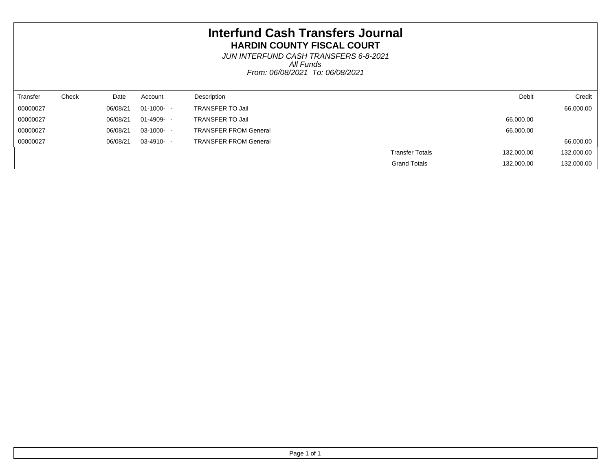*From: 06/08/2021 To: 06/08/2021 All Funds JUN INTERFUND CASH TRANSFERS 6-8-2021*

| Transfer | Check | Date     | Account       | Description                  | Debit                                | Credit     |
|----------|-------|----------|---------------|------------------------------|--------------------------------------|------------|
| 00000027 |       | 06/08/21 | $01-1000-$    | <b>TRANSFER TO Jail</b>      |                                      | 66,000.00  |
| 00000027 |       | 06/08/21 | $01-4909 - -$ | <b>TRANSFER TO Jail</b>      | 66,000.00                            |            |
| 00000027 |       | 06/08/21 | $03-1000 -$   | <b>TRANSFER FROM General</b> | 66,000.00                            |            |
| 00000027 |       | 06/08/21 | $03-4910-$    | <b>TRANSFER FROM General</b> |                                      | 66,000.00  |
|          |       |          |               |                              | <b>Transfer Totals</b><br>132,000.00 | 132,000.00 |
|          |       |          |               |                              | <b>Grand Totals</b><br>132,000.00    | 132,000.00 |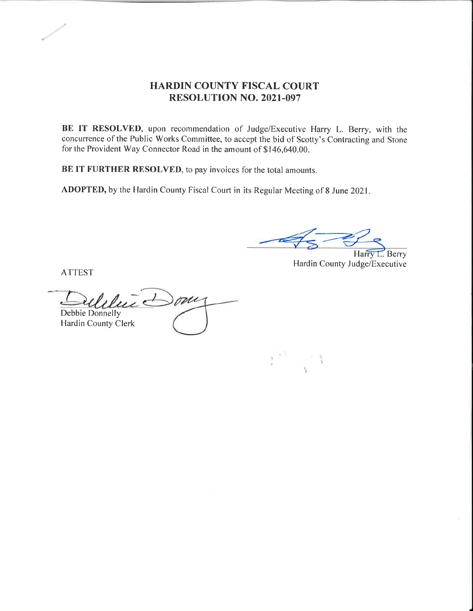#### HARDIN COUNTY FISCAL COURT RESOLUTION NO. 202I.097

BE IT RESOLVED, upon recommendation of Judge/Executive Harry L. Berry, with the concurrence of the Public Works Committee, to accept the bid of Scotty's Contracting and Stone for the Provident Way Connector Road in the amount of \$ 146,640.00.

BE IT FURTHER RESOLVED, to pay invoices for the total amounts.

ADOPTED, by the Hardin County Fiscal Court in its Regular Meeting of 8 June 2021

Harry L. Berry

Hardin County Judge/Executive

ATTEST

 $\overline{u}$  Down Debbie Donnelly Hardin County Clerk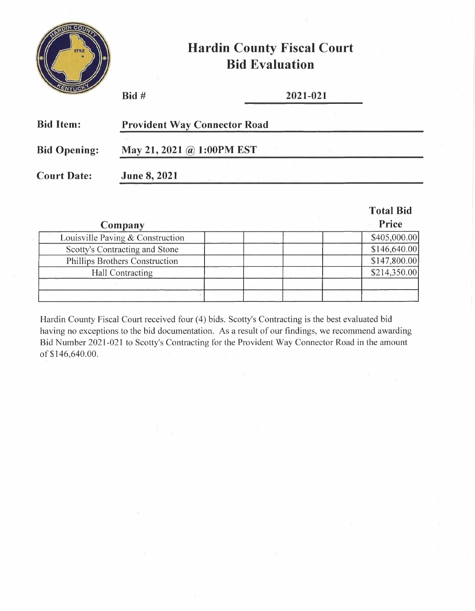

# **Hardin County Fiscal Court Bid Evaluation**

| ENTUCK              | Bid#                                | 2021-021 |  |
|---------------------|-------------------------------------|----------|--|
| <b>Bid Item:</b>    | <b>Provident Way Connector Road</b> |          |  |
| <b>Bid Opening:</b> | May 21, 2021 @ 1:00PM EST           |          |  |
| <b>Court Date:</b>  | <b>June 8, 2021</b>                 |          |  |
|                     |                                     |          |  |

|                                  | <b>Total Bid</b> |
|----------------------------------|------------------|
| Company                          | Price            |
| Louisville Paving & Construction | \$405,000.00]    |
| Scotty's Contracting and Stone   | \$146,640.00     |
| Phillips Brothers Construction   | \$147,800.00     |
| <b>Hall Contracting</b>          | \$214,350.00     |
|                                  |                  |
|                                  |                  |

Hardin County Fiscal Court received four (4) bids. Scotty's Contracting is the best evaluated bid having no exceptions to the bid documentation. As a result of our findings, we recommend awarding Bid Number 2021-021 to Scotty's Contracting for the Provident Way Connector Road in the amount of \$146,640.00.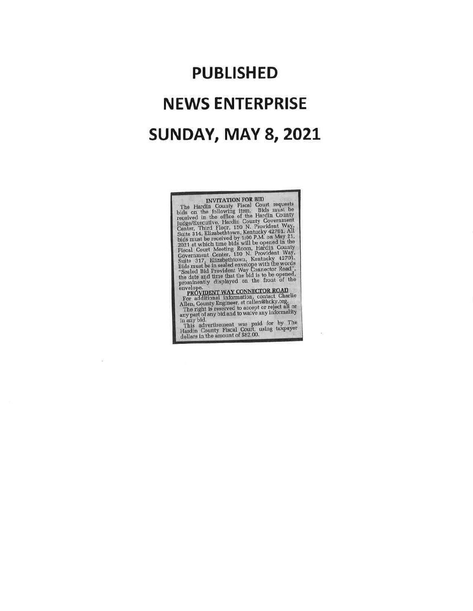# PUBLISHED NEWS ENTERPRISE **SUNDAY, MAY 8, 2021**

INVITATION FOR BID<br>
The Hardin County Fiscal Court requests<br>
bids on the following item. Bids must be<br>
received in the office of the Hardin County<br>
requests<br>
Center, Third Floor, 150 N. Provident Way,<br>
Suite 314, Elizabet

 $\sim$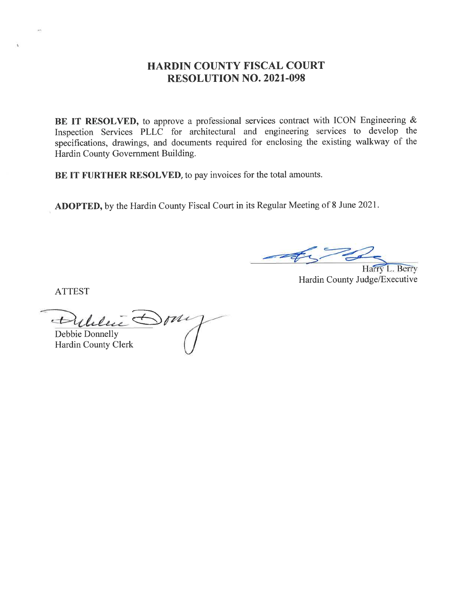#### HARDIN COUNTY FISCAL COURT RESOLUTION NO. 2021-098

BE IT RESOLVED, to approve a professional services contract with ICON Engineering & Inspection Services PLLC for architectural and engineering services to develop the specifications, drawings, and documents required for enclosing the existing walkway of the Hardin County Government Building.

BE IT FURTHER RESOLVED, to pay invoices for the total amounts.

ADOPTED, by the Hardin County Fiscal Court in its Regular Meeting of 8 June 2021.

L. Berry Hardin County Judge/Executive

ATTEST

 $\bigoplus$ Dililie Debbie Donnelly

Hardin County Clerk